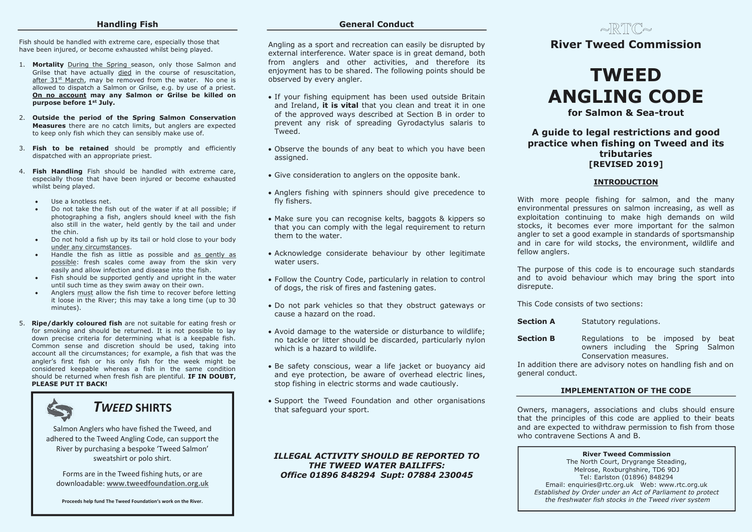#### **Handling Fish**

Fish should be handled with extreme care, especially those that have been injured, or become exhausted whilst being played.

- 1. **Mortality** During the Spring season, only those Salmon and Grilse that have actually died in the course of resuscitation, after 31st March, may be removed from the water. No one is allowed to dispatch a Salmon or Grilse, e.g. by use of a priest. **On no account may any Salmon or Grilse be killed on purpose before 1st July.**
- 2. **Outside the period of the Spring Salmon Conservation Measures** there are no catch limits, but anglers are expected to keep only fish which they can sensibly make use of.
- 3. **Fish to be retained** should be promptly and efficiently dispatched with an appropriate priest.
- 4. **Fish Handling** Fish should be handled with extreme care, especially those that have been injured or become exhausted whilst being played.
	- Use a knotless net.
	- Do not take the fish out of the water if at all possible; if photographing a fish, anglers should kneel with the fish also still in the water, held gently by the tail and under the chin.
	- Do not hold a fish up by its tail or hold close to your body under any circumstances.
	- Handle the fish as little as possible and as gently as possible: fresh scales come away from the skin very easily and allow infection and disease into the fish.
	- Fish should be supported gently and upright in the water until such time as they swim away on their own.
	- Anglers must allow the fish time to recover before letting it loose in the River; this may take a long time (up to 30 minutes).
- 5. **Ripe/darkly coloured fish** are not suitable for eating fresh or for smoking and should be returned. It is not possible to lay down precise criteria for determining what is a keepable fish. Common sense and discretion should be used, taking into account all the circumstances; for example, a fish that was the angler's first fish or his only fish for the week might be considered keepable whereas a fish in the same condition should be returned when fresh fish are plentiful. **IF IN DOUBT, PLEASE PUT IT BACK!**

# *TWEED* **SHIRTS**

Salmon Anglers who have fished the Tweed, and adhered to the Tweed Angling Code, can support the River by purchasing a bespoke 'Tweed Salmon' sweatshirt or polo shirt.

Forms are in the Tweed fishing huts, or are downloadable: **www.tweedfoundation.org.uk**

**Proceeds help fund The Tweed Foundation's work on the River.**

## **General Conduct**

Angling as a sport and recreation can easily be disrupted by external interference. Water space is in great demand, both from anglers and other activities, and therefore its enjoyment has to be shared. The following points should be observed by every angler.

- If your fishing equipment has been used outside Britain and Ireland, **it is vital** that you clean and treat it in one of the approved ways described at Section B in order to prevent any risk of spreading Gyrodactylus salaris to Tweed.
- Observe the bounds of any beat to which you have been assigned.
- Give consideration to anglers on the opposite bank.
- Anglers fishing with spinners should give precedence to fly fishers.
- Make sure you can recognise kelts, baggots & kippers so that you can comply with the legal requirement to return them to the water.
- Acknowledge considerate behaviour by other legitimate water users.
- Follow the Country Code, particularly in relation to control of dogs, the risk of fires and fastening gates.
- Do not park vehicles so that they obstruct gateways or cause a hazard on the road.
- Avoid damage to the waterside or disturbance to wildlife; no tackle or litter should be discarded, particularly nylon which is a hazard to wildlife.
- Be safety conscious, wear a life jacket or buoyancy aid and eye protection, be aware of overhead electric lines, stop fishing in electric storms and wade cautiously.
- Support the Tweed Foundation and other organisations that safeguard your sport.

## *ILLEGAL ACTIVITY SHOULD BE REPORTED TO THE TWEED WATER BAILIFFS: Office 01896 848294 Supt: 07884 230045*

# $\sim$ RT $C$  $\sim$ **River Tweed Commission**

# **TWEED ANGLING CODE**

**for Salmon & Sea-trout**

# **A guide to legal restrictions and good practice when fishing on Tweed and its tributaries [REVISED 2019]**

#### **INTRODUCTION**

With more people fishing for salmon, and the many environmental pressures on salmon increasing, as well as exploitation continuing to make high demands on wild stocks, it becomes ever more important for the salmon angler to set a good example in standards of sportsmanship and in care for wild stocks, the environment, wildlife and fellow anglers.

The purpose of this code is to encourage such standards and to avoid behaviour which may bring the sport into disrepute.

This Code consists of two sections:

**Section A** Statutory regulations.

**Section B** Regulations to be imposed by beat owners including the Spring Salmon Conservation measures.

In addition there are advisory notes on handling fish and on general conduct.

# **IMPLEMENTATION OF THE CODE**

Owners, managers, associations and clubs should ensure that the principles of this code are applied to their beats and are expected to withdraw permission to fish from those who contravene Sections A and B.

#### **River Tweed Commission**

The North Court, Drygrange Steading, Melrose, Roxburghshire, TD6 9DJ Tel: Earlston (01896) 848294 Email: enquiries@rtc.org.uk Web: www.rtc.org.uk *Established by Order under an Act of Parliament to protect the freshwater fish stocks in the Tweed river system*